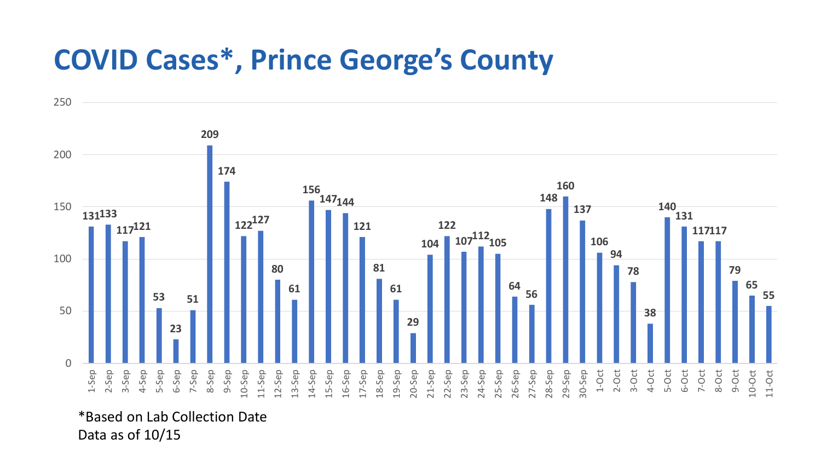## **COVID Cases\*, Prince George's County**

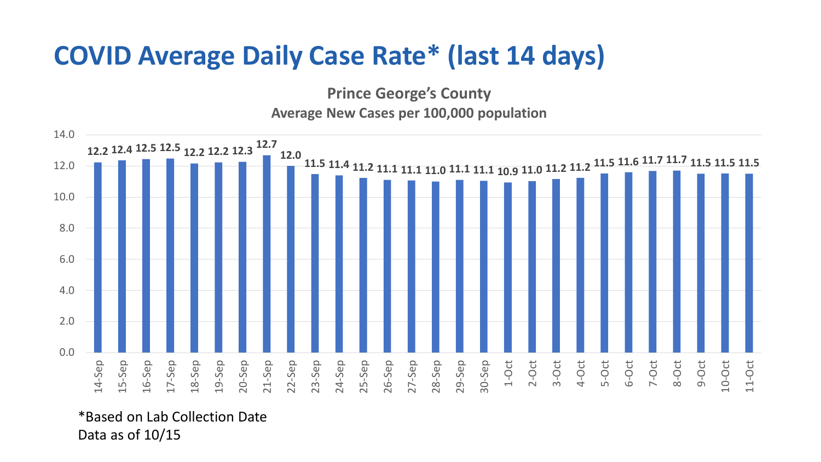## **COVID Average Daily Case Rate\* (last 14 days)**

**Prince George's County**

## **Average New Cases per 100,000 population**



\*Based on Lab Collection Date Data as of 10/15